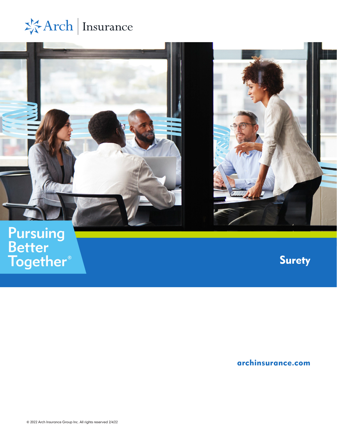



# Pursuing<br>Better<br>Together®

**Surety** 

[archinsurance.com](https://insurance.archgroup.com/business/north-america/united-states/)